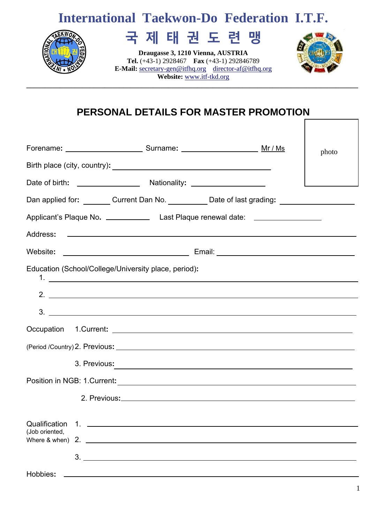# **International Taekwon-Do Federation I.T.F.**



**국 제 태 권 도 련 맹**

**Draugasse 3, 1210 Vienna, AUSTRIA Tel.** (+43-1) 2928467 **Fax** (+43-1) 292846789 **E-Mail:** secretary-gen@itfhq.orgdirector-af@itfhq.org **Website:** www.itf-tkd.org **\_\_\_\_\_\_\_\_\_\_\_\_\_\_\_\_\_\_\_\_\_\_\_\_\_\_\_\_\_\_\_\_\_\_\_\_\_\_\_\_\_\_\_\_\_\_\_\_\_\_\_\_\_\_\_\_\_\_\_\_\_\_\_\_\_\_\_\_\_\_\_\_\_\_\_\_\_\_\_\_\_\_\_\_\_\_\_\_\_** 



# **PERSONAL DETAILS FOR MASTER PROMOTION**

|                                                         |  |                                                                                                                                                                                                                                |  |  | photo |
|---------------------------------------------------------|--|--------------------------------------------------------------------------------------------------------------------------------------------------------------------------------------------------------------------------------|--|--|-------|
|                                                         |  |                                                                                                                                                                                                                                |  |  |       |
|                                                         |  |                                                                                                                                                                                                                                |  |  |       |
|                                                         |  | Dan applied for: ________ Current Dan No. ____________ Date of last grading: ______________________                                                                                                                            |  |  |       |
|                                                         |  |                                                                                                                                                                                                                                |  |  |       |
|                                                         |  |                                                                                                                                                                                                                                |  |  |       |
|                                                         |  |                                                                                                                                                                                                                                |  |  |       |
|                                                         |  | Education (School/College/University place, period):                                                                                                                                                                           |  |  |       |
|                                                         |  |                                                                                                                                                                                                                                |  |  |       |
|                                                         |  | $3.$ $\overline{\phantom{a}}$                                                                                                                                                                                                  |  |  |       |
|                                                         |  |                                                                                                                                                                                                                                |  |  |       |
|                                                         |  |                                                                                                                                                                                                                                |  |  |       |
|                                                         |  | 3. Previous: 2008 and 2008 and 2008 and 2008 and 2008 and 2008 and 2008 and 2008 and 2008 and 2008 and 2008 and 2008 and 2008 and 2008 and 2008 and 2008 and 2008 and 2008 and 2008 and 2008 and 2008 and 2008 and 2008 and 20 |  |  |       |
|                                                         |  |                                                                                                                                                                                                                                |  |  |       |
|                                                         |  |                                                                                                                                                                                                                                |  |  |       |
| Qualification                                           |  |                                                                                                                                                                                                                                |  |  |       |
| (Job oriented,<br>Where $\&$ when) $2.$ $\qquad \qquad$ |  |                                                                                                                                                                                                                                |  |  |       |
|                                                         |  |                                                                                                                                                                                                                                |  |  |       |
| Hobbies:                                                |  | <u> 1989 - Johann Stoff, deutscher Stoff, der Stoff, der Stoff, der Stoff, der Stoff, der Stoff, der Stoff, der S</u>                                                                                                          |  |  |       |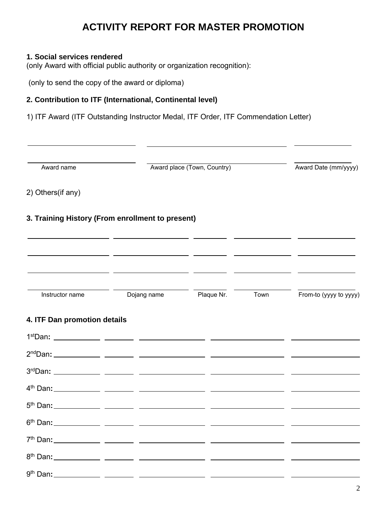# **ACTIVITY REPORT FOR MASTER PROMOTION**

### **1. Social services rendered**

(only Award with official public authority or organization recognition):

(only to send the copy of the award or diploma)

### **2. Contribution to ITF (International, Continental level)**

1) ITF Award (ITF Outstanding Instructor Medal, ITF Order, ITF Commendation Letter)

| Award name                                       |                                                   | Award place (Town, Country) |      | Award Date (mm/yyyy)   |
|--------------------------------------------------|---------------------------------------------------|-----------------------------|------|------------------------|
|                                                  |                                                   |                             |      |                        |
| 2) Others (if any)                               |                                                   |                             |      |                        |
| 3. Training History (From enrollment to present) |                                                   |                             |      |                        |
|                                                  |                                                   |                             |      |                        |
|                                                  | <u> 1990 - Jan James James Sandarík (f. 1980)</u> |                             |      |                        |
| Instructor name                                  | Dojang name                                       | Plaque Nr.                  | Town | From-to (yyyy to yyyy) |
| 4. ITF Dan promotion details                     |                                                   |                             |      |                        |
|                                                  |                                                   |                             |      |                        |
|                                                  |                                                   |                             |      |                        |
|                                                  |                                                   |                             |      |                        |
|                                                  |                                                   |                             |      |                        |
|                                                  |                                                   |                             |      |                        |
|                                                  |                                                   |                             |      |                        |
|                                                  |                                                   |                             |      |                        |
|                                                  |                                                   |                             |      |                        |
|                                                  |                                                   |                             |      |                        |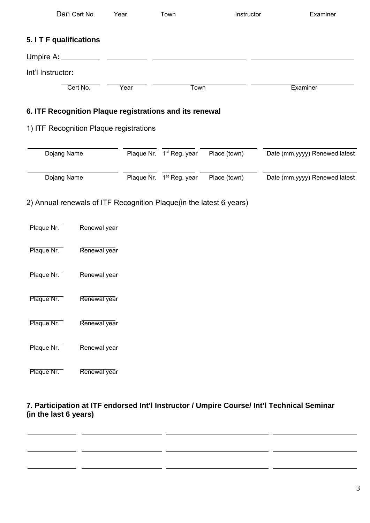| Dan Cert No.                                                        |              | Year | Town                                              | Instructor | Examiner                       |
|---------------------------------------------------------------------|--------------|------|---------------------------------------------------|------------|--------------------------------|
| 5. I T F qualifications                                             |              |      |                                                   |            |                                |
|                                                                     |              |      |                                                   |            |                                |
| Int'l Instructor:                                                   |              |      |                                                   |            |                                |
|                                                                     | Cert No.     | Year | Town                                              |            | Examiner                       |
| 6. ITF Recognition Plaque registrations and its renewal             |              |      |                                                   |            |                                |
| 1) ITF Recognition Plaque registrations                             |              |      |                                                   |            |                                |
| Dojang Name                                                         |              |      | Plaque Nr. 1 <sup>st</sup> Reg. year Place (town) |            | Date (mm, yyyy) Renewed latest |
| Dojang Name                                                         |              |      | Plaque Nr. 1 <sup>st</sup> Reg. year Place (town) |            | Date (mm, yyyy) Renewed latest |
| 2) Annual renewals of ITF Recognition Plaque(in the latest 6 years) |              |      |                                                   |            |                                |
| Plaque Nr.                                                          | Renewal year |      |                                                   |            |                                |
| Plaque Nr.                                                          | Renewal year |      |                                                   |            |                                |
| Plaque Nr.                                                          | Renewal year |      |                                                   |            |                                |
| Plaque Nr.                                                          | Renewal year |      |                                                   |            |                                |
| Plaque Nr.                                                          | Renewal year |      |                                                   |            |                                |
| Plaque Nr.                                                          | Renewal year |      |                                                   |            |                                |
| Plaque Nr.                                                          | Renewal year |      |                                                   |            |                                |

### **7. Participation at ITF endorsed Int'l Instructor / Umpire Course/ Int'l Technical Seminar (in the last 6 years)**

 $\overline{a}$ 

\_ \_

<u> 1989 - John Stein, mars and de Branch and de Branch and de Branch and de Branch and de Branch and de Branch a</u>

 $\overline{a}$ 

 $\overline{\phantom{a}}$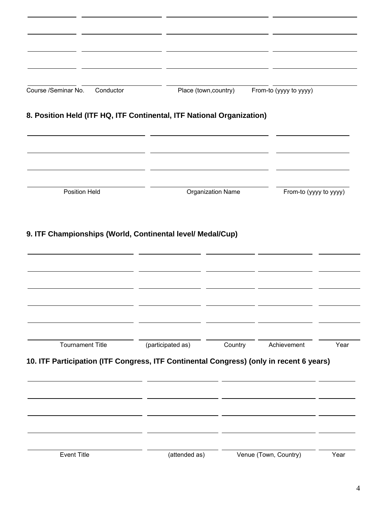| Course /Seminar No.<br>Conductor                                                        |                   | Place (town, country)    | From-to (yyyy to yyyy) |      |
|-----------------------------------------------------------------------------------------|-------------------|--------------------------|------------------------|------|
| 8. Position Held (ITF HQ, ITF Continental, ITF National Organization)                   |                   |                          |                        |      |
|                                                                                         |                   |                          |                        |      |
| <b>Position Held</b>                                                                    |                   | <b>Organization Name</b> | From-to (yyyy to yyyy) |      |
|                                                                                         |                   |                          |                        |      |
|                                                                                         |                   |                          |                        |      |
| <b>Tournament Title</b>                                                                 | (participated as) | Country                  | Achievement            |      |
|                                                                                         |                   |                          |                        |      |
| 10. ITF Participation (ITF Congress, ITF Continental Congress) (only in recent 6 years) |                   |                          |                        | Year |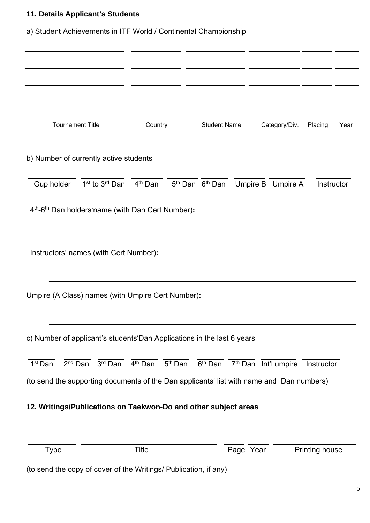### **11. Details Applicant's Students**

a) Student Achievements in ITF World / Continental Championship

| <b>Tournament Title</b>                                                                  |                                                               | Country                                 | <b>Student Name</b>                                                      | Category/Div.            | Placing    | Year |
|------------------------------------------------------------------------------------------|---------------------------------------------------------------|-----------------------------------------|--------------------------------------------------------------------------|--------------------------|------------|------|
| b) Number of currently active students                                                   |                                                               |                                         |                                                                          |                          |            |      |
| Gup holder                                                                               | 1 <sup>st</sup> to 3 <sup>rd</sup> Dan<br>4 <sup>th</sup> Dan |                                         | 5 <sup>th</sup> Dan 6 <sup>th</sup> Dan                                  | Umpire B Umpire A        | Instructor |      |
| 4 <sup>th</sup> -6 <sup>th</sup> Dan holders'name (with Dan Cert Number):                |                                                               |                                         |                                                                          |                          |            |      |
| Instructors' names (with Cert Number):                                                   |                                                               |                                         |                                                                          |                          |            |      |
| Umpire (A Class) names (with Umpire Cert Number):                                        |                                                               |                                         |                                                                          |                          |            |      |
| c) Number of applicant's students Dan Applications in the last 6 years                   |                                                               |                                         |                                                                          |                          |            |      |
| 1 <sup>st</sup> Dan<br>$2nd$ Dan                                                         | $3rd$ Dan                                                     | 4 <sup>th</sup> Dan 5 <sup>th</sup> Dan | $\overline{6^{th}$ Dan $\overline{7^{th}$ Dan $\overline{Int}$ 'l umpire |                          | Instructor |      |
| (to send the supporting documents of the Dan applicants' list with name and Dan numbers) |                                                               |                                         |                                                                          |                          |            |      |
| 12. Writings/Publications on Taekwon-Do and other subject areas                          |                                                               |                                         |                                                                          |                          |            |      |
| <b>Type</b>                                                                              | <b>Title</b>                                                  |                                         |                                                                          | Page Year Printing house |            |      |
| (to send the copy of cover of the Writings/ Publication, if any)                         |                                                               |                                         |                                                                          |                          |            |      |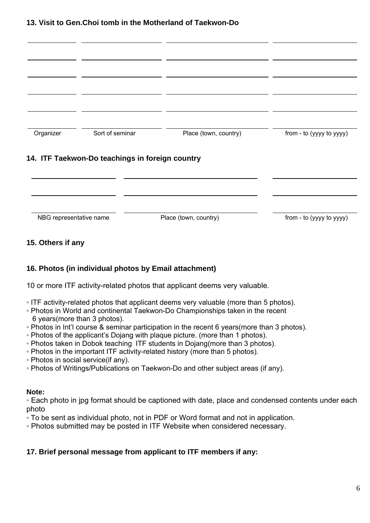### **13. Visit to Gen.Choi tomb in the Motherland of Taekwon-Do**

| Organizer | Sort of seminar                                 | Place (town, country) | from - to (yyyy to yyyy) |
|-----------|-------------------------------------------------|-----------------------|--------------------------|
|           | 14. ITF Taekwon-Do teachings in foreign country |                       |                          |
|           |                                                 |                       |                          |
|           |                                                 |                       |                          |

NBC representative name Place (town, country) From - to (yyyy to yyyy)

### **15. Others if any**

### **16. Photos (in individual photos by Email attachment)**

10 or more ITF activity-related photos that applicant deems very valuable.

- ITF activity-related photos that applicant deems very valuable (more than 5 photos).
- Photos in World and continental Taekwon-Do Championships taken in the recent 6 years(more than 3 photos).
- Photos in Int'l course & seminar participation in the recent 6 years(more than 3 photos).
- Photos of the applicant's Dojang with plaque picture. (more than 1 photos).
- Photos taken in Dobok teaching ITF students in Dojang(more than 3 photos).
- Photos in the important ITF activity-related history (more than 5 photos).
- Photos in social service(if any).
- Photos of Writings/Publications on Taekwon-Do and other subject areas (if any).

#### **Note:**

◦ Each photo in jpg format should be captioned with date, place and condensed contents under each photo

- To be sent as individual photo, not in PDF or Word format and not in application.
- Photos submitted may be posted in ITF Website when considered necessary.

### **17. Brief personal message from applicant to ITF members if any:**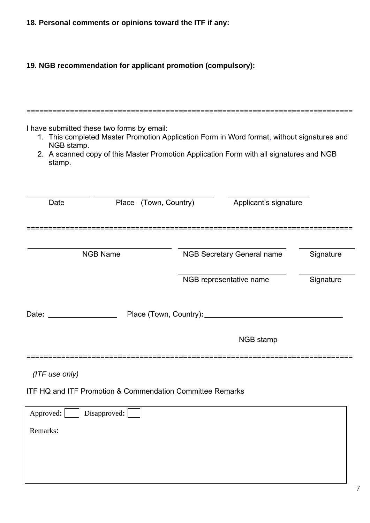**18. Personal comments or opinions toward the ITF if any:** 

**19. NGB recommendation for applicant promotion (compulsory):** 

| NGB stamp.<br>stamp.                                                                                                                                                                                                           | I have submitted these two forms by email:                           |                                   | 1. This completed Master Promotion Application Form in Word format, without signatures and<br>2. A scanned copy of this Master Promotion Application Form with all signatures and NGB |           |
|--------------------------------------------------------------------------------------------------------------------------------------------------------------------------------------------------------------------------------|----------------------------------------------------------------------|-----------------------------------|---------------------------------------------------------------------------------------------------------------------------------------------------------------------------------------|-----------|
| Date                                                                                                                                                                                                                           | Place (Town, Country)                                                |                                   | Applicant's signature                                                                                                                                                                 |           |
|                                                                                                                                                                                                                                |                                                                      |                                   |                                                                                                                                                                                       |           |
|                                                                                                                                                                                                                                | <b>NGB Name</b>                                                      | <b>NGB Secretary General name</b> |                                                                                                                                                                                       | Signature |
|                                                                                                                                                                                                                                |                                                                      |                                   | NGB representative name                                                                                                                                                               | Signature |
| Date: the contract of the contract of the contract of the contract of the contract of the contract of the contract of the contract of the contract of the contract of the contract of the contract of the contract of the cont | Place (Town, Country):                                               |                                   |                                                                                                                                                                                       |           |
|                                                                                                                                                                                                                                |                                                                      |                                   | NGB stamp                                                                                                                                                                             |           |
| (ITF use only)                                                                                                                                                                                                                 |                                                                      |                                   |                                                                                                                                                                                       |           |
|                                                                                                                                                                                                                                | <b>ITF HQ and ITF Promotion &amp; Commendation Committee Remarks</b> |                                   |                                                                                                                                                                                       |           |
| Approved:                                                                                                                                                                                                                      | Disapproved:                                                         |                                   |                                                                                                                                                                                       |           |
| Remarks:                                                                                                                                                                                                                       |                                                                      |                                   |                                                                                                                                                                                       |           |
|                                                                                                                                                                                                                                |                                                                      |                                   |                                                                                                                                                                                       |           |
|                                                                                                                                                                                                                                |                                                                      |                                   |                                                                                                                                                                                       |           |